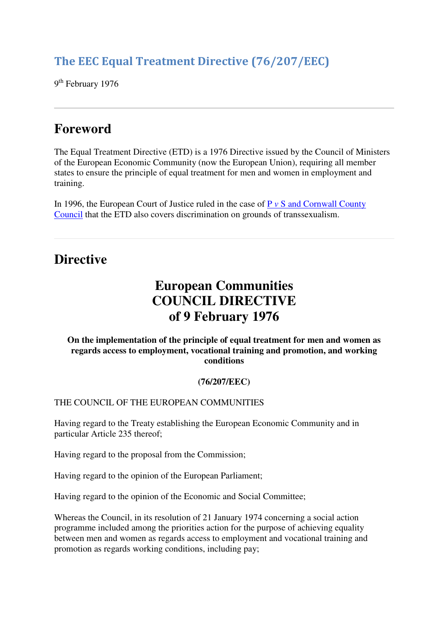## The EEC Equal Treatment Directive (76/207/EEC)

9<sup>th</sup> February 1976

# **Foreword**

The Equal Treatment Directive (ETD) is a 1976 Directive issued by the Council of Ministers of the European Economic Community (now the European Union), requiring all member states to ensure the principle of equal treatment for men and women in employment and training.

In 1996, the European Court of Justice ruled in the case of  $P$  *v* S and Cornwall County Council that the ETD also covers discrimination on grounds of transsexualism.

## **Directive**

# **European Communities COUNCIL DIRECTIVE of 9 February 1976**

#### **On the implementation of the principle of equal treatment for men and women as regards access to employment, vocational training and promotion, and working conditions**

#### **(76/207/EEC)**

#### THE COUNCIL OF THE EUROPEAN COMMUNITIES

Having regard to the Treaty establishing the European Economic Community and in particular Article 235 thereof;

Having regard to the proposal from the Commission;

Having regard to the opinion of the European Parliament;

Having regard to the opinion of the Economic and Social Committee;

Whereas the Council, in its resolution of 21 January 1974 concerning a social action programme included among the priorities action for the purpose of achieving equality between men and women as regards access to employment and vocational training and promotion as regards working conditions, including pay;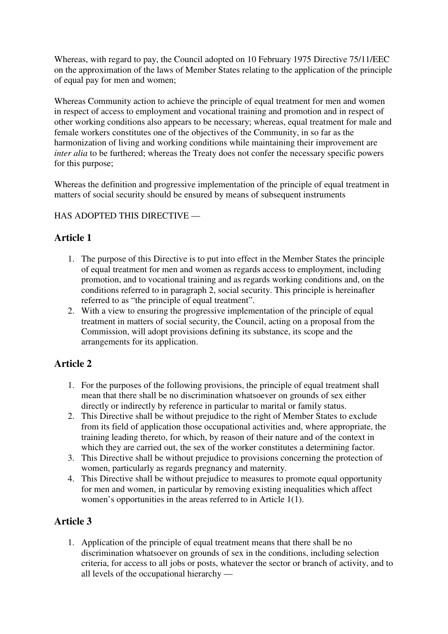Whereas, with regard to pay, the Council adopted on 10 February 1975 Directive 75/11/EEC on the approximation of the laws of Member States relating to the application of the principle of equal pay for men and women;

Whereas Community action to achieve the principle of equal treatment for men and women in respect of access to employment and vocational training and promotion and in respect of other working conditions also appears to be necessary; whereas, equal treatment for male and female workers constitutes one of the objectives of the Community, in so far as the harmonization of living and working conditions while maintaining their improvement are *inter alia* to be furthered; whereas the Treaty does not confer the necessary specific powers for this purpose;

Whereas the definition and progressive implementation of the principle of equal treatment in matters of social security should be ensured by means of subsequent instruments

#### HAS ADOPTED THIS DIRECTIVE —

## **Article 1**

- 1. The purpose of this Directive is to put into effect in the Member States the principle of equal treatment for men and women as regards access to employment, including promotion, and to vocational training and as regards working conditions and, on the conditions referred to in paragraph 2, social security. This principle is hereinafter referred to as "the principle of equal treatment".
- 2. With a view to ensuring the progressive implementation of the principle of equal treatment in matters of social security, the Council, acting on a proposal from the Commission, will adopt provisions defining its substance, its scope and the arrangements for its application.

## **Article 2**

- 1. For the purposes of the following provisions, the principle of equal treatment shall mean that there shall be no discrimination whatsoever on grounds of sex either directly or indirectly by reference in particular to marital or family status.
- 2. This Directive shall be without prejudice to the right of Member States to exclude from its field of application those occupational activities and, where appropriate, the training leading thereto, for which, by reason of their nature and of the context in which they are carried out, the sex of the worker constitutes a determining factor.
- 3. This Directive shall be without prejudice to provisions concerning the protection of women, particularly as regards pregnancy and maternity.
- 4. This Directive shall be without prejudice to measures to promote equal opportunity for men and women, in particular by removing existing inequalities which affect women's opportunities in the areas referred to in Article 1(1).

## **Article 3**

1. Application of the principle of equal treatment means that there shall be no discrimination whatsoever on grounds of sex in the conditions, including selection criteria, for access to all jobs or posts, whatever the sector or branch of activity, and to all levels of the occupational hierarchy —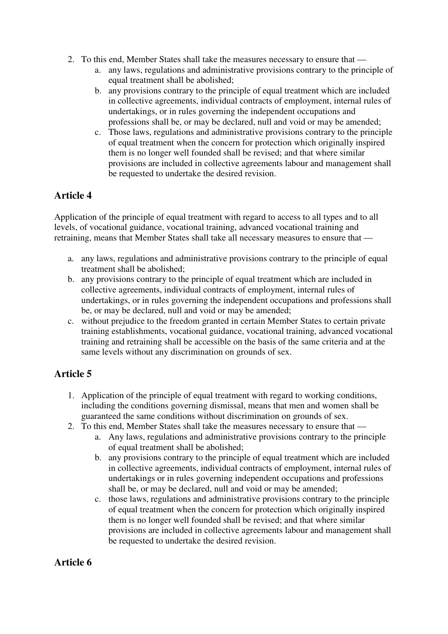- 2. To this end, Member States shall take the measures necessary to ensure that
	- a. any laws, regulations and administrative provisions contrary to the principle of equal treatment shall be abolished;
	- b. any provisions contrary to the principle of equal treatment which are included in collective agreements, individual contracts of employment, internal rules of undertakings, or in rules governing the independent occupations and professions shall be, or may be declared, null and void or may be amended;
	- c. Those laws, regulations and administrative provisions contrary to the principle of equal treatment when the concern for protection which originally inspired them is no longer well founded shall be revised; and that where similar provisions are included in collective agreements labour and management shall be requested to undertake the desired revision.

### **Article 4**

Application of the principle of equal treatment with regard to access to all types and to all levels, of vocational guidance, vocational training, advanced vocational training and retraining, means that Member States shall take all necessary measures to ensure that —

- a. any laws, regulations and administrative provisions contrary to the principle of equal treatment shall be abolished;
- b. any provisions contrary to the principle of equal treatment which are included in collective agreements, individual contracts of employment, internal rules of undertakings, or in rules governing the independent occupations and professions shall be, or may be declared, null and void or may be amended;
- c. without prejudice to the freedom granted in certain Member States to certain private training establishments, vocational guidance, vocational training, advanced vocational training and retraining shall be accessible on the basis of the same criteria and at the same levels without any discrimination on grounds of sex.

## **Article 5**

- 1. Application of the principle of equal treatment with regard to working conditions, including the conditions governing dismissal, means that men and women shall be guaranteed the same conditions without discrimination on grounds of sex.
- 2. To this end, Member States shall take the measures necessary to ensure that
	- a. Any laws, regulations and administrative provisions contrary to the principle of equal treatment shall be abolished;
	- b. any provisions contrary to the principle of equal treatment which are included in collective agreements, individual contracts of employment, internal rules of undertakings or in rules governing independent occupations and professions shall be, or may be declared, null and void or may be amended;
	- c. those laws, regulations and administrative provisions contrary to the principle of equal treatment when the concern for protection which originally inspired them is no longer well founded shall be revised; and that where similar provisions are included in collective agreements labour and management shall be requested to undertake the desired revision.

#### **Article 6**